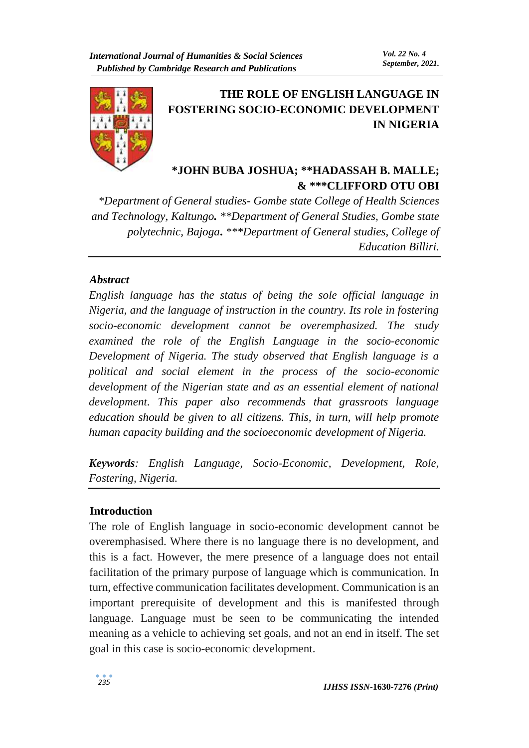

# **THE ROLE OF ENGLISH LANGUAGE IN FOSTERING SOCIO-ECONOMIC DEVELOPMENT IN NIGERIA**

## **\*JOHN BUBA JOSHUA; \*\*HADASSAH B. MALLE; & \*\*\*CLIFFORD OTU OBI**

*\*Department of General studies- Gombe state College of Health Sciences and Technology, Kaltungo. \*\*Department of General Studies, Gombe state polytechnic, Bajoga***.** *\*\*\*Department of General studies, College of Education Billiri.*

### *Abstract*

*English language has the status of being the sole official language in Nigeria, and the language of instruction in the country. Its role in fostering socio-economic development cannot be overemphasized. The study examined the role of the English Language in the socio-economic Development of Nigeria. The study observed that English language is a political and social element in the process of the socio-economic development of the Nigerian state and as an essential element of national development. This paper also recommends that grassroots language education should be given to all citizens. This, in turn, will help promote human capacity building and the socioeconomic development of Nigeria.*

*Keywords: English Language, Socio-Economic, Development, Role, Fostering, Nigeria.* 

### **Introduction**

The role of English language in socio-economic development cannot be overemphasised. Where there is no language there is no development, and this is a fact. However, the mere presence of a language does not entail facilitation of the primary purpose of language which is communication. In turn, effective communication facilitates development. Communication is an important prerequisite of development and this is manifested through language. Language must be seen to be communicating the intended meaning as a vehicle to achieving set goals, and not an end in itself. The set goal in this case is socio-economic development.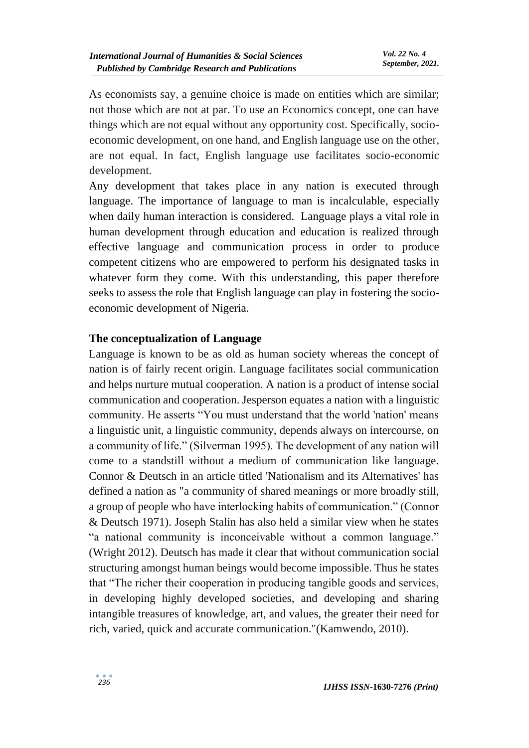As economists say, a genuine choice is made on entities which are similar; not those which are not at par. To use an Economics concept, one can have things which are not equal without any opportunity cost. Specifically, socioeconomic development, on one hand, and English language use on the other, are not equal. In fact, English language use facilitates socio-economic development.

Any development that takes place in any nation is executed through language. The importance of language to man is incalculable, especially when daily human interaction is considered. Language plays a vital role in human development through education and education is realized through effective language and communication process in order to produce competent citizens who are empowered to perform his designated tasks in whatever form they come. With this understanding, this paper therefore seeks to assess the role that English language can play in fostering the socioeconomic development of Nigeria.

### **The conceptualization of Language**

Language is known to be as old as human society whereas the concept of nation is of fairly recent origin. Language facilitates social communication and helps nurture mutual cooperation. A nation is a product of intense social communication and cooperation. Jesperson equates a nation with a linguistic community. He asserts "You must understand that the world 'nation' means a linguistic unit, a linguistic community, depends always on intercourse, on a community of life." (Silverman 1995). The development of any nation will come to a standstill without a medium of communication like language. Connor & Deutsch in an article titled 'Nationalism and its Alternatives' has defined a nation as "a community of shared meanings or more broadly still, a group of people who have interlocking habits of communication." (Connor & Deutsch 1971). Joseph Stalin has also held a similar view when he states "a national community is inconceivable without a common language." (Wright 2012). Deutsch has made it clear that without communication social structuring amongst human beings would become impossible. Thus he states that "The richer their cooperation in producing tangible goods and services, in developing highly developed societies, and developing and sharing intangible treasures of knowledge, art, and values, the greater their need for rich, varied, quick and accurate communication."(Kamwendo, 2010).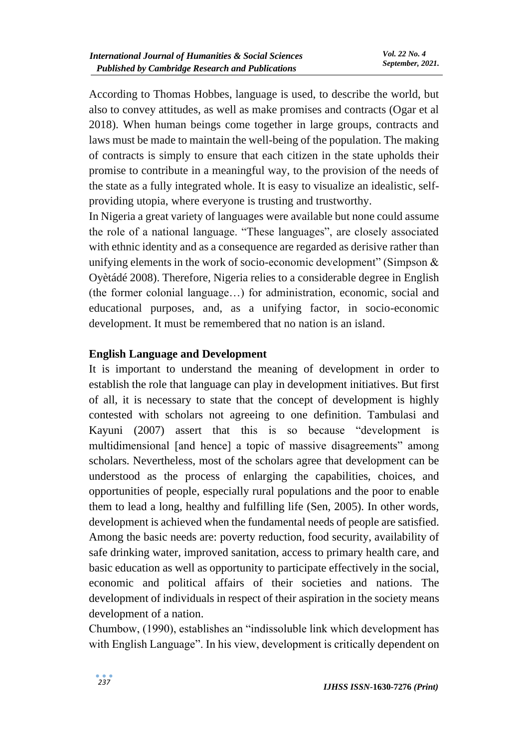According to Thomas Hobbes, language is used, to describe the world, but also to convey attitudes, as well as make promises and contracts (Ogar et al 2018). When human beings come together in large groups, contracts and laws must be made to maintain the well-being of the population. The making of contracts is simply to ensure that each citizen in the state upholds their promise to contribute in a meaningful way, to the provision of the needs of the state as a fully integrated whole. It is easy to visualize an idealistic, selfproviding utopia, where everyone is trusting and trustworthy.

In Nigeria a great variety of languages were available but none could assume the role of a national language. "These languages", are closely associated with ethnic identity and as a consequence are regarded as derisive rather than unifying elements in the work of socio-economic development" (Simpson & Oyètádé 2008). Therefore, Nigeria relies to a considerable degree in English (the former colonial language…) for administration, economic, social and educational purposes, and, as a unifying factor, in socio-economic development. It must be remembered that no nation is an island.

### **English Language and Development**

It is important to understand the meaning of development in order to establish the role that language can play in development initiatives. But first of all, it is necessary to state that the concept of development is highly contested with scholars not agreeing to one definition. Tambulasi and Kayuni (2007) assert that this is so because "development is multidimensional [and hence] a topic of massive disagreements" among scholars. Nevertheless, most of the scholars agree that development can be understood as the process of enlarging the capabilities, choices, and opportunities of people, especially rural populations and the poor to enable them to lead a long, healthy and fulfilling life (Sen, 2005). In other words, development is achieved when the fundamental needs of people are satisfied. Among the basic needs are: poverty reduction, food security, availability of safe drinking water, improved sanitation, access to primary health care, and basic education as well as opportunity to participate effectively in the social, economic and political affairs of their societies and nations. The development of individuals in respect of their aspiration in the society means development of a nation.

Chumbow, (1990), establishes an "indissoluble link which development has with English Language". In his view, development is critically dependent on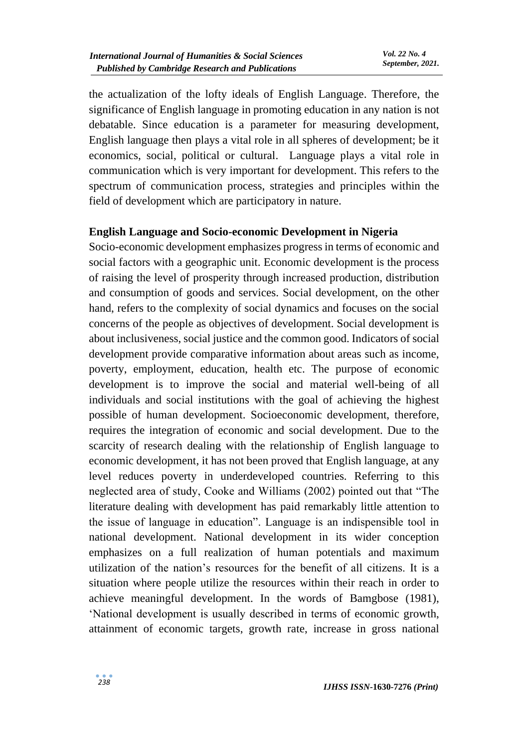the actualization of the lofty ideals of English Language. Therefore, the significance of English language in promoting education in any nation is not debatable. Since education is a parameter for measuring development, English language then plays a vital role in all spheres of development; be it economics, social, political or cultural. Language plays a vital role in communication which is very important for development. This refers to the spectrum of communication process, strategies and principles within the field of development which are participatory in nature.

#### **English Language and Socio-economic Development in Nigeria**

Socio-economic development emphasizes progress in terms of economic and social factors with a geographic unit. Economic development is the process of raising the level of prosperity through increased production, distribution and consumption of goods and services. Social development, on the other hand, refers to the complexity of social dynamics and focuses on the social concerns of the people as objectives of development. Social development is about inclusiveness, social justice and the common good. Indicators of social development provide comparative information about areas such as income, poverty, employment, education, health etc. The purpose of economic development is to improve the social and material well-being of all individuals and social institutions with the goal of achieving the highest possible of human development. Socioeconomic development, therefore, requires the integration of economic and social development. Due to the scarcity of research dealing with the relationship of English language to economic development, it has not been proved that English language, at any level reduces poverty in underdeveloped countries. Referring to this neglected area of study, Cooke and Williams (2002) pointed out that "The literature dealing with development has paid remarkably little attention to the issue of language in education". Language is an indispensible tool in national development. National development in its wider conception emphasizes on a full realization of human potentials and maximum utilization of the nation's resources for the benefit of all citizens. It is a situation where people utilize the resources within their reach in order to achieve meaningful development. In the words of Bamgbose (1981), 'National development is usually described in terms of economic growth, attainment of economic targets, growth rate, increase in gross national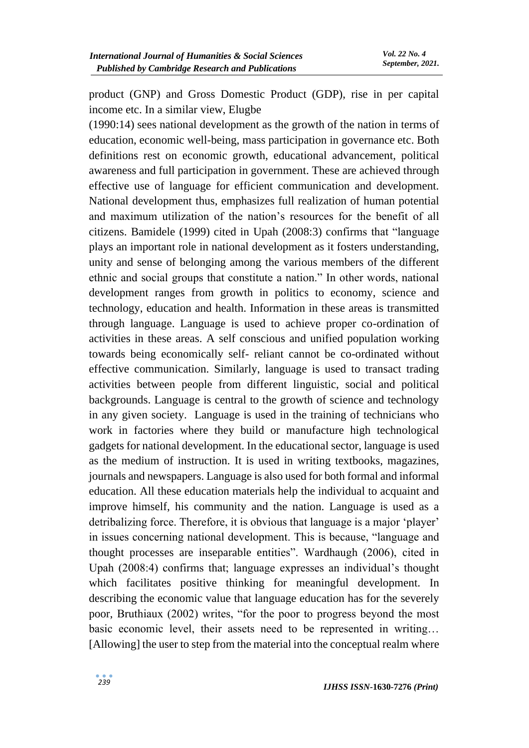product (GNP) and Gross Domestic Product (GDP), rise in per capital income etc. In a similar view, Elugbe

(1990:14) sees national development as the growth of the nation in terms of education, economic well-being, mass participation in governance etc. Both definitions rest on economic growth, educational advancement, political awareness and full participation in government. These are achieved through effective use of language for efficient communication and development. National development thus, emphasizes full realization of human potential and maximum utilization of the nation's resources for the benefit of all citizens. Bamidele (1999) cited in Upah (2008:3) confirms that "language plays an important role in national development as it fosters understanding, unity and sense of belonging among the various members of the different ethnic and social groups that constitute a nation." In other words, national development ranges from growth in politics to economy, science and technology, education and health. Information in these areas is transmitted through language. Language is used to achieve proper co-ordination of activities in these areas. A self conscious and unified population working towards being economically self- reliant cannot be co-ordinated without effective communication. Similarly, language is used to transact trading activities between people from different linguistic, social and political backgrounds. Language is central to the growth of science and technology in any given society. Language is used in the training of technicians who work in factories where they build or manufacture high technological gadgets for national development. In the educational sector, language is used as the medium of instruction. It is used in writing textbooks, magazines, journals and newspapers. Language is also used for both formal and informal education. All these education materials help the individual to acquaint and improve himself, his community and the nation. Language is used as a detribalizing force. Therefore, it is obvious that language is a major 'player' in issues concerning national development. This is because, "language and thought processes are inseparable entities". Wardhaugh (2006), cited in Upah (2008:4) confirms that; language expresses an individual's thought which facilitates positive thinking for meaningful development. In describing the economic value that language education has for the severely poor, Bruthiaux (2002) writes, "for the poor to progress beyond the most basic economic level, their assets need to be represented in writing… [Allowing] the user to step from the material into the conceptual realm where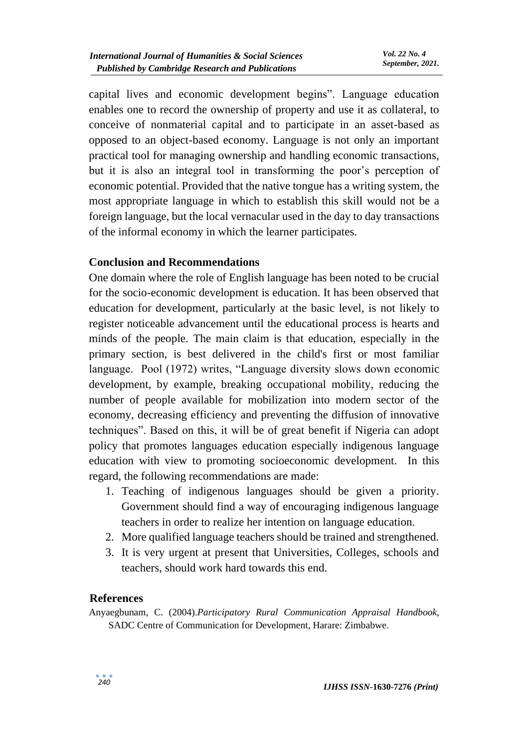capital lives and economic development begins". Language education enables one to record the ownership of property and use it as collateral, to conceive of nonmaterial capital and to participate in an asset-based as opposed to an object-based economy. Language is not only an important practical tool for managing ownership and handling economic transactions, but it is also an integral tool in transforming the poor's perception of economic potential. Provided that the native tongue has a writing system, the most appropriate language in which to establish this skill would not be a foreign language, but the local vernacular used in the day to day transactions of the informal economy in which the learner participates.

### **Conclusion and Recommendations**

One domain where the role of English language has been noted to be crucial for the socio-economic development is education. It has been observed that education for development, particularly at the basic level, is not likely to register noticeable advancement until the educational process is hearts and minds of the people. The main claim is that education, especially in the primary section, is best delivered in the child's first or most familiar language. Pool (1972) writes, "Language diversity slows down economic development, by example, breaking occupational mobility, reducing the number of people available for mobilization into modern sector of the economy, decreasing efficiency and preventing the diffusion of innovative techniques". Based on this, it will be of great benefit if Nigeria can adopt policy that promotes languages education especially indigenous language education with view to promoting socioeconomic development. In this regard, the following recommendations are made:

- 1. Teaching of indigenous languages should be given a priority. Government should find a way of encouraging indigenous language teachers in order to realize her intention on language education.
- 2. More qualified language teachers should be trained and strengthened.
- 3. It is very urgent at present that Universities, Colleges, schools and teachers, should work hard towards this end.

### **References**

Anyaegbunam, C. (2004).*Participatory Rural Communication Appraisal Handbook,*  SADC Centre of Communication for Development, Harare: Zimbabwe.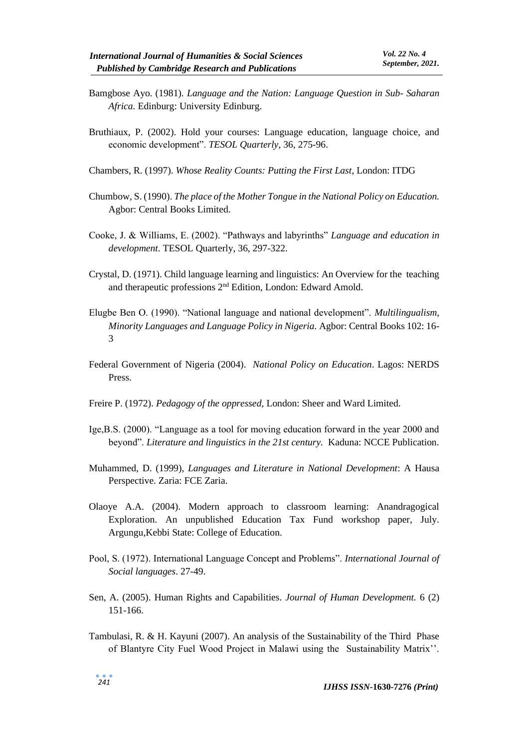- Bamgbose Ayo. (1981). *Language and the Nation: Language Question in Sub- Saharan Africa.* Edinburg: University Edinburg.
- Bruthiaux, P. (2002). Hold your courses: Language education, language choice, and economic development". *TESOL Quarterly*, 36, 275-96.
- Chambers, R. (1997). *Whose Reality Counts: Putting the First Last*, London: ITDG
- Chumbow, S. (1990). *The place of the Mother Tongue in the National Policy on Education.* Agbor: Central Books Limited.
- Cooke, J. & Williams, E. (2002). "Pathways and labyrinths" *Language and education in development*. TESOL Quarterly, 36, 297-322.
- Crystal, D. (1971). Child language learning and linguistics: An Overview for the teaching and therapeutic professions 2nd Edition, London: Edward Amold.
- Elugbe Ben O. (1990). "National language and national development". *Multilingualism, Minority Languages and Language Policy in Nigeria.* Agbor: Central Books 102: 16- 3
- Federal Government of Nigeria (2004). *National Policy on Education*. Lagos: NERDS Press.
- Freire P. (1972). *Pedagogy of the oppressed*, London: Sheer and Ward Limited.
- Ige,B.S. (2000). "Language as a tool for moving education forward in the year 2000 and beyond". *Literature and linguistics in the 21st century.* Kaduna: NCCE Publication.
- Muhammed, D. (1999), *Languages and Literature in National Development*: A Hausa Perspective. Zaria: FCE Zaria.
- Olaoye A.A. (2004). Modern approach to classroom learning: Anandragogical Exploration. An unpublished Education Tax Fund workshop paper, July. Argungu,Kebbi State: College of Education.
- Pool, S. (1972). International Language Concept and Problems". *International Journal of Social languages*. 27-49.
- Sen, A. (2005). Human Rights and Capabilities. *Journal of Human Development.* 6 (2) 151-166.
- Tambulasi, R. & H. Kayuni (2007). An analysis of the Sustainability of the Third Phase of Blantyre City Fuel Wood Project in Malawi using the Sustainability Matrix''.